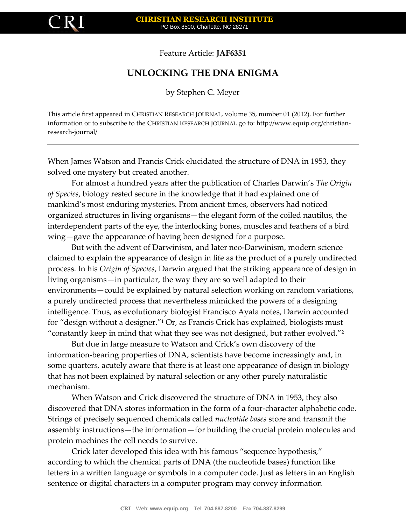

Feature Article: **JAF6351**

## **UNLOCKING THE DNA ENIGMA**

by Stephen C. Meyer

This article first appeared in CHRISTIAN RESEARCH JOURNAL, volume 35, number 01 (2012). For further information or to subscribe to the CHRISTIAN RESEARCH JOURNAL go to: http://www.equip.org/christianresearch-journal/

When James Watson and Francis Crick elucidated the structure of DNA in 1953, they solved one mystery but created another.

For almost a hundred years after the publication of Charles Darwin's *The Origin of Species*, biology rested secure in the knowledge that it had explained one of mankind's most enduring mysteries. From ancient times, observers had noticed organized structures in living organisms—the elegant form of the coiled nautilus, the interdependent parts of the eye, the interlocking bones, muscles and feathers of a bird wing—gave the appearance of having been designed for a purpose.

But with the advent of Darwinism, and later neo-Darwinism, modern science claimed to explain the appearance of design in life as the product of a purely undirected process. In his *Origin of Species*, Darwin argued that the striking appearance of design in living organisms—in particular, the way they are so well adapted to their environments—could be explained by natural selection working on random variations, a purely undirected process that nevertheless mimicked the powers of a designing intelligence. Thus, as evolutionary biologist Francisco Ayala notes, Darwin accounted for "design without a designer."<sup>1</sup> Or, as Francis Crick has explained, biologists must "constantly keep in mind that what they see was not designed, but rather evolved."<sup>2</sup>

But due in large measure to Watson and Crick's own discovery of the information-bearing properties of DNA, scientists have become increasingly and, in some quarters, acutely aware that there is at least one appearance of design in biology that has not been explained by natural selection or any other purely naturalistic mechanism.

When Watson and Crick discovered the structure of DNA in 1953, they also discovered that DNA stores information in the form of a four-character alphabetic code. Strings of precisely sequenced chemicals called *nucleotide bases* store and transmit the assembly instructions—the information—for building the crucial protein molecules and protein machines the cell needs to survive.

Crick later developed this idea with his famous "sequence hypothesis," according to which the chemical parts of DNA (the nucleotide bases) function like letters in a written language or symbols in a computer code. Just as letters in an English sentence or digital characters in a computer program may convey information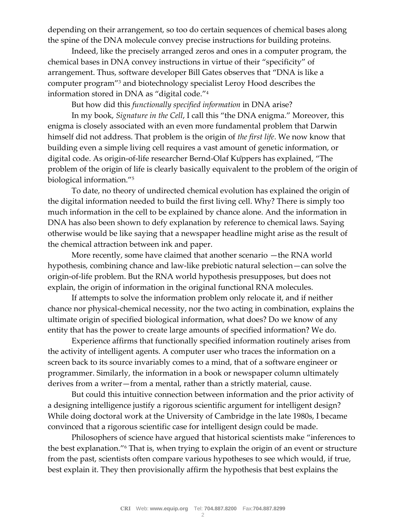depending on their arrangement, so too do certain sequences of chemical bases along the spine of the DNA molecule convey precise instructions for building proteins.

Indeed, like the precisely arranged zeros and ones in a computer program, the chemical bases in DNA convey instructions in virtue of their "specificity" of arrangement. Thus, software developer Bill Gates observes that "DNA is like a computer program"<sup>3</sup> and biotechnology specialist Leroy Hood describes the information stored in DNA as "digital code."<sup>4</sup>

But how did this *functionally specified information* in DNA arise?

In my book, *Signature in the Cell*, I call this "the DNA enigma." Moreover, this enigma is closely associated with an even more fundamental problem that Darwin himself did not address. That problem is the origin of *the first life*. We now know that building even a simple living cell requires a vast amount of genetic information, or digital code. As origin-of-life researcher Bernd-Olaf Kuppers has explained, "The problem of the origin of life is clearly basically equivalent to the problem of the origin of biological information."<sup>5</sup>

To date, no theory of undirected chemical evolution has explained the origin of the digital information needed to build the first living cell. Why? There is simply too much information in the cell to be explained by chance alone. And the information in DNA has also been shown to defy explanation by reference to chemical laws. Saying otherwise would be like saying that a newspaper headline might arise as the result of the chemical attraction between ink and paper.

More recently, some have claimed that another scenario —the RNA world hypothesis, combining chance and law-like prebiotic natural selection—can solve the origin-of-life problem. But the RNA world hypothesis presupposes, but does not explain, the origin of information in the original functional RNA molecules.

If attempts to solve the information problem only relocate it, and if neither chance nor physical-chemical necessity, nor the two acting in combination, explains the ultimate origin of specified biological information, what does? Do we know of any entity that has the power to create large amounts of specified information? We do.

Experience affirms that functionally specified information routinely arises from the activity of intelligent agents. A computer user who traces the information on a screen back to its source invariably comes to a mind, that of a software engineer or programmer. Similarly, the information in a book or newspaper column ultimately derives from a writer—from a mental, rather than a strictly material, cause.

But could this intuitive connection between information and the prior activity of a designing intelligence justify a rigorous scientific argument for intelligent design? While doing doctoral work at the University of Cambridge in the late 1980s, I became convinced that a rigorous scientific case for intelligent design could be made.

Philosophers of science have argued that historical scientists make "inferences to the best explanation."<sup>6</sup> That is, when trying to explain the origin of an event or structure from the past, scientists often compare various hypotheses to see which would, if true, best explain it. They then provisionally affirm the hypothesis that best explains the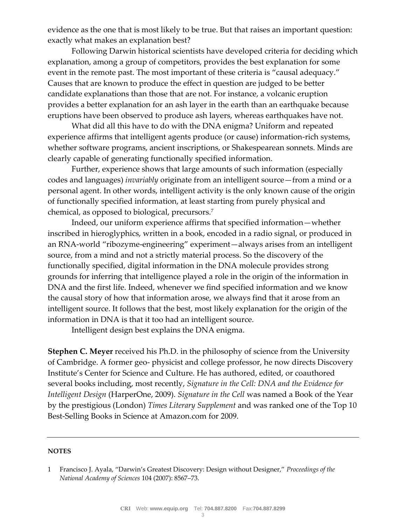evidence as the one that is most likely to be true. But that raises an important question: exactly what makes an explanation best?

Following Darwin historical scientists have developed criteria for deciding which explanation, among a group of competitors, provides the best explanation for some event in the remote past. The most important of these criteria is "causal adequacy." Causes that are known to produce the effect in question are judged to be better candidate explanations than those that are not. For instance, a volcanic eruption provides a better explanation for an ash layer in the earth than an earthquake because eruptions have been observed to produce ash layers, whereas earthquakes have not.

What did all this have to do with the DNA enigma? Uniform and repeated experience affirms that intelligent agents produce (or cause) information-rich systems, whether software programs, ancient inscriptions, or Shakespearean sonnets. Minds are clearly capable of generating functionally specified information.

Further, experience shows that large amounts of such information (especially codes and languages) *invariably* originate from an intelligent source—from a mind or a personal agent. In other words, intelligent activity is the only known cause of the origin of functionally specified information, at least starting from purely physical and chemical, as opposed to biological, precursors.<sup>7</sup>

Indeed, our uniform experience affirms that specified information—whether inscribed in hieroglyphics, written in a book, encoded in a radio signal, or produced in an RNA-world "ribozyme-engineering" experiment—always arises from an intelligent source, from a mind and not a strictly material process. So the discovery of the functionally specified, digital information in the DNA molecule provides strong grounds for inferring that intelligence played a role in the origin of the information in DNA and the first life. Indeed, whenever we find specified information and we know the causal story of how that information arose, we always find that it arose from an intelligent source. It follows that the best, most likely explanation for the origin of the information in DNA is that it too had an intelligent source.

Intelligent design best explains the DNA enigma.

**Stephen C. Meyer** received his Ph.D. in the philosophy of science from the University of Cambridge. A former geo- physicist and college professor, he now directs Discovery Institute's Center for Science and Culture. He has authored, edited, or coauthored several books including, most recently, *Signature in the Cell: DNA and the Evidence for Intelligent Design* (HarperOne, 2009). *Signature in the Cell* was named a Book of the Year by the prestigious (London) *Times Literary Supplement* and was ranked one of the Top 10 Best-Selling Books in Science at Amazon.com for 2009.

## **NOTES**

<sup>1</sup> Francisco J. Ayala, "Darwin's Greatest Discovery: Design without Designer," *Proceedings of the National Academy of Sciences* 104 (2007): 8567–73.